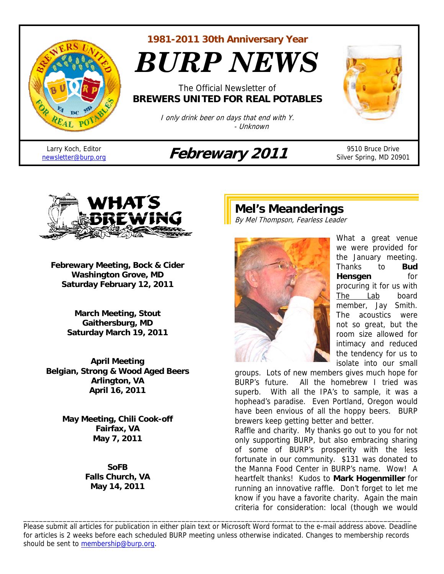

**1981-2011 30th Anniversary Year** 

*BURP NEWS*

The Official Newsletter of **BREWERS UNITED FOR REAL POTABLES**

> I only drink beer on days that end with Y. - Unknown

Larry Koch, Editor

# Larry Koch, Editor<br>
newsletter@burp.org **Febrewary 2011** 9510 Bruce Drive



Silver Spring, MD 20901



**Febrewary Meeting, Bock & Cider Washington Grove, MD Saturday February 12, 2011** 

> **March Meeting, Stout Gaithersburg, MD Saturday March 19, 2011**

**April Meeting Belgian, Strong & Wood Aged Beers Arlington, VA April 16, 2011** 

> **May Meeting, Chili Cook-off Fairfax, VA May 7, 2011**

> > **SoFB Falls Church, VA May 14, 2011**

# **Mel's Meanderings**

By Mel Thompson, Fearless Leader



What a great venue we were provided for the January meeting. Thanks to **Bud Hensgen** for procuring it for us with The Lab board member, Jay Smith. The acoustics were not so great, but the room size allowed for intimacy and reduced the tendency for us to isolate into our small

groups. Lots of new members gives much hope for BURP's future. All the homebrew I tried was superb. With all the IPA's to sample, it was a hophead's paradise. Even Portland, Oregon would have been envious of all the hoppy beers. BURP brewers keep getting better and better.

Raffle and charity. My thanks go out to you for not only supporting BURP, but also embracing sharing of some of BURP's prosperity with the less fortunate in our community. \$131 was donated to the Manna Food Center in BURP's name. Wow! A heartfelt thanks! Kudos to **Mark Hogenmiller** for running an innovative raffle. Don't forget to let me know if you have a favorite charity. Again the main criteria for consideration: local (though we would

Please submit all articles for publication in either plain text or Microsoft Word format to the e-mail address above. Deadline for articles is 2 weeks before each scheduled BURP meeting unless otherwise indicated. Changes to membership records should be sent to membership@burp.org.

\_\_\_\_\_\_\_\_\_\_\_\_\_\_\_\_\_\_\_\_\_\_\_\_\_\_\_\_\_\_\_\_\_\_\_\_\_\_\_\_\_\_\_\_\_\_\_\_\_\_\_\_\_\_\_\_\_\_\_\_\_\_\_\_\_\_\_\_\_\_\_\_\_\_\_\_\_\_\_\_\_\_\_\_\_\_\_\_\_\_\_\_\_\_\_\_\_\_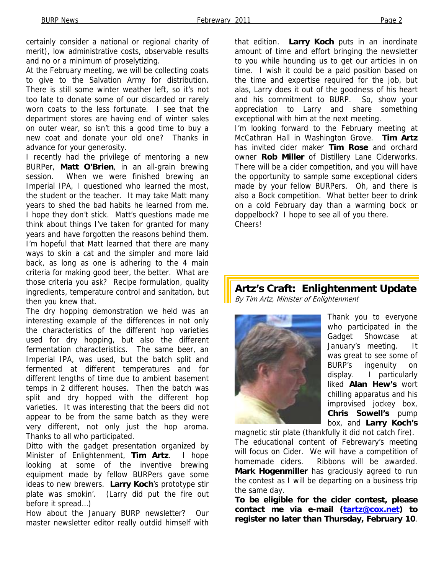certainly consider a national or regional charity of merit), low administrative costs, observable results and no or a minimum of proselytizing.

At the February meeting, we will be collecting coats to give to the Salvation Army for distribution. There is still some winter weather left, so it's not too late to donate some of our discarded or rarely worn coats to the less fortunate. I see that the department stores are having end of winter sales on outer wear, so isn't this a good time to buy a new coat and donate your old one? Thanks in advance for your generosity.

I recently had the privilege of mentoring a new BURPer, **Matt O'Brien**, in an all-grain brewing session. When we were finished brewing an Imperial IPA, I questioned who learned the most, the student or the teacher. It may take Matt many years to shed the bad habits he learned from me. I hope they don't stick. Matt's questions made me think about things I've taken for granted for many years and have forgotten the reasons behind them. I'm hopeful that Matt learned that there are many ways to skin a cat and the simpler and more laid back, as long as one is adhering to the 4 main criteria for making good beer, the better. What are those criteria you ask? Recipe formulation, quality ingredients, temperature control and sanitation, but then you knew that.

The dry hopping demonstration we held was an interesting example of the differences in not only the characteristics of the different hop varieties used for dry hopping, but also the different fermentation characteristics. The same beer, an Imperial IPA, was used, but the batch split and fermented at different temperatures and for different lengths of time due to ambient basement temps in 2 different houses. Then the batch was split and dry hopped with the different hop varieties. It was interesting that the beers did not appear to be from the same batch as they were very different, not only just the hop aroma. Thanks to all who participated.

Ditto with the gadget presentation organized by Minister of Enlightenment, **Tim Artz**. I hope looking at some of the inventive brewing equipment made by fellow BURPers gave some ideas to new brewers. **Larry Koch**'s prototype stir plate was smokin'. (Larry did put the fire out before it spread…)

How about the January BURP newsletter? Our master newsletter editor really outdid himself with that edition. **Larry Koch** puts in an inordinate amount of time and effort bringing the newsletter to you while hounding us to get our articles in on time. I wish it could be a paid position based on the time and expertise required for the job, but alas, Larry does it out of the goodness of his heart and his commitment to BURP. So, show your appreciation to Larry and share something exceptional with him at the next meeting. I'm looking forward to the February meeting at McCathran Hall in Washington Grove. **Tim Artz** has invited cider maker **Tim Rose** and orchard owner **Rob Miller** of Distillery Lane Ciderworks. There will be a cider competition, and you will have the opportunity to sample some exceptional ciders made by your fellow BURPers. Oh, and there is also a Bock competition. What better beer to drink on a cold February day than a warming bock or doppelbock? I hope to see all of you there. Cheers!

## **Artz's Craft: Enlightenment Update**  By Tim Artz, Minister of Enlightenment



Thank you to everyone who participated in the Gadget Showcase at January's meeting. It was great to see some of BURP's ingenuity on display. I particularly liked **Alan Hew's** wort chilling apparatus and his improvised jockey box, **Chris Sowell's** pump box, and **Larry Koch's**

magnetic stir plate (thankfully it did not catch fire). The educational content of Febrewary's meeting will focus on Cider. We will have a competition of homemade ciders. Ribbons will be awarded. **Mark Hogenmiller** has graciously agreed to run the contest as I will be departing on a business trip the same day.

**To be eligible for the cider contest, please contact me via e-mail (tartz@cox.net) to register no later than Thursday, February 10**.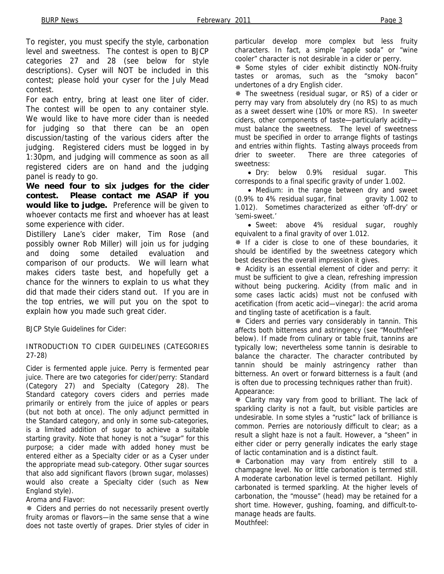To register, you must specify the style, carbonation level and sweetness. The contest is open to BJCP categories 27 and 28 (see below for style descriptions). Cyser will NOT be included in this contest; please hold your cyser for the July Mead contest.

For each entry, bring at least one liter of cider. The contest will be open to any container style. We would like to have more cider than is needed for judging so that there can be an open discussion/tasting of the various ciders after the judging. Registered ciders must be logged in by 1:30pm, and judging will commence as soon as all registered ciders are on hand and the judging panel is ready to go.

**We need four to six judges for the cider contest. Please contact me ASAP if you would like to judge.** Preference will be given to whoever contacts me first and whoever has at least some experience with cider.

Distillery Lane's cider maker, Tim Rose (and possibly owner Rob Miller) will join us for judging and doing some detailed evaluation and comparison of our products. We will learn what makes ciders taste best, and hopefully get a chance for the winners to explain to us what they did that made their ciders stand out. If you are in the top entries, we will put you on the spot to explain how you made such great cider.

BJCP Style Guidelines for Cider:

### INTRODUCTION TO CIDER GUIDELINES (CATEGORIES 27-28)

Cider is fermented apple juice. Perry is fermented pear juice. There are two categories for cider/perry: Standard (Category 27) and Specialty (Category 28). The Standard category covers ciders and perries made primarily or entirely from the juice of apples or pears (but not both at once). The only adjunct permitted in the Standard category, and only in some sub-categories, is a limited addition of sugar to achieve a suitable starting gravity. Note that honey is not a "sugar" for this purpose; a cider made with added honey must be entered either as a Specialty cider or as a Cyser under the appropriate mead sub-category. Other sugar sources that also add significant flavors (brown sugar, molasses) would also create a Specialty cider (such as New England style).

Aroma and Flavor:

 Ciders and perries do not necessarily present overtly fruity aromas or flavors—in the same sense that a wine does not taste overtly of grapes. Drier styles of cider in

particular develop more complex but less fruity characters. In fact, a simple "apple soda" or "wine cooler" character is not desirable in a cider or perry.

 Some styles of cider exhibit distinctly NON-fruity tastes or aromas, such as the "smoky bacon" undertones of a dry English cider.

 The sweetness (residual sugar, or RS) of a cider or perry may vary from absolutely dry (no RS) to as much as a sweet dessert wine (10% or more RS). In sweeter ciders, other components of taste—particularly acidity must balance the sweetness. The level of sweetness must be specified in order to arrange flights of tastings and entries within flights. Tasting always proceeds from drier to sweeter. There are three categories of sweetness:

• Dry: below 0.9% residual sugar. This corresponds to a final specific gravity of under 1.002.

• Medium: in the range between dry and sweet (0.9% to 4% residual sugar, final gravity 1.002 to 1.012). Sometimes characterized as either 'off-dry' or 'semi-sweet.'

• Sweet: above 4% residual sugar, roughly equivalent to a final gravity of over 1.012.

\* If a cider is close to one of these boundaries, it should be identified by the sweetness category which best describes the overall impression it gives.

 Acidity is an essential element of cider and perry: it must be sufficient to give a clean, refreshing impression without being puckering. Acidity (from malic and in some cases lactic acids) must not be confused with acetification (from acetic acid—vinegar): the acrid aroma and tingling taste of acetification is a fault.

 Ciders and perries vary considerably in tannin. This affects both bitterness and astringency (see "Mouthfeel" below). If made from culinary or table fruit, tannins are typically low; nevertheless some tannin is desirable to balance the character. The character contributed by tannin should be mainly astringency rather than bitterness. An overt or forward bitterness is a fault (and is often due to processing techniques rather than fruit). Appearance:

 Clarity may vary from good to brilliant. The lack of sparkling clarity is not a fault, but visible particles are undesirable. In some styles a "rustic" lack of brilliance is common. Perries are notoriously difficult to clear; as a result a slight haze is not a fault. However, a "sheen" in either cider or perry generally indicates the early stage of lactic contamination and is a distinct fault.

 Carbonation may vary from entirely still to a champagne level. No or little carbonation is termed still. A moderate carbonation level is termed petillant. Highly carbonated is termed sparkling. At the higher levels of carbonation, the "mousse" (head) may be retained for a short time. However, gushing, foaming, and difficult-tomanage heads are faults. Mouthfeel: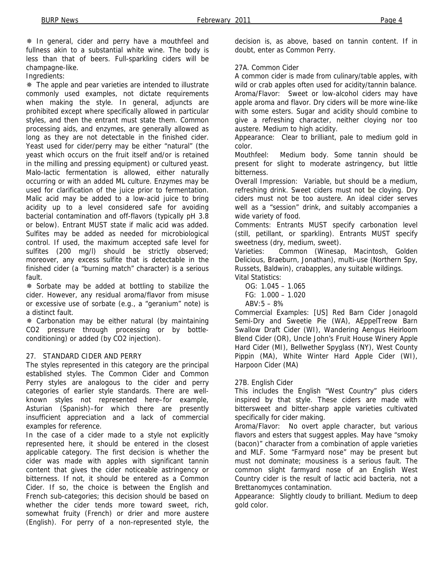In general, cider and perry have a mouthfeel and fullness akin to a substantial white wine. The body is less than that of beers. Full-sparkling ciders will be champagne-like.

Ingredients:

 The apple and pear varieties are intended to illustrate commonly used examples, not dictate requirements when making the style. In general, adjuncts are prohibited except where specifically allowed in particular styles, and then the entrant must state them. Common processing aids, and enzymes, are generally allowed as long as they are not detectable in the finished cider. Yeast used for cider/perry may be either "natural" (the yeast which occurs on the fruit itself and/or is retained in the milling and pressing equipment) or cultured yeast. Malo-lactic fermentation is allowed, either naturally occurring or with an added ML culture. Enzymes may be used for clarification of the juice prior to fermentation. Malic acid may be added to a low-acid juice to bring acidity up to a level considered safe for avoiding bacterial contamination and off-flavors (typically pH 3.8 or below). Entrant MUST state if malic acid was added. Sulfites may be added as needed for microbiological control. If used, the maximum accepted safe level for sulfites (200 mg/l) should be strictly observed; moreover, any excess sulfite that is detectable in the finished cider (a "burning match" character) is a serious fault.

 Sorbate may be added at bottling to stabilize the cider. However, any residual aroma/flavor from misuse or excessive use of sorbate (e.g., a "geranium" note) is a distinct fault.

 Carbonation may be either natural (by maintaining CO2 pressure through processing or by bottleconditioning) or added (by CO2 injection).

### 27. STANDARD CIDER AND PERRY

The styles represented in this category are the principal established styles. The Common Cider and Common Perry styles are analogous to the cider and perry categories of earlier style standards. There are wellknown styles not represented here–for example, Asturian (Spanish)–for which there are presently insufficient appreciation and a lack of commercial examples for reference.

In the case of a cider made to a style not explicitly represented here, it should be entered in the closest applicable category. The first decision is whether the cider was made with apples with significant tannin content that gives the cider noticeable astringency or bitterness. If not, it should be entered as a Common Cider. If so, the choice is between the English and French sub-categories; this decision should be based on whether the cider tends more toward sweet, rich, somewhat fruity (French) or drier and more austere (English). For perry of a non-represented style, the

decision is, as above, based on tannin content. If in doubt, enter as Common Perry.

#### 27A. Common Cider

A common cider is made from culinary/table apples, with wild or crab apples often used for acidity/tannin balance. Aroma/Flavor: Sweet or low-alcohol ciders may have apple aroma and flavor. Dry ciders will be more wine-like with some esters. Sugar and acidity should combine to give a refreshing character, neither cloying nor too austere. Medium to high acidity.

Appearance: Clear to brilliant, pale to medium gold in color.

Mouthfeel: Medium body. Some tannin should be present for slight to moderate astringency, but little bitterness.

Overall Impression: Variable, but should be a medium, refreshing drink. Sweet ciders must not be cloying. Dry ciders must not be too austere. An ideal cider serves well as a "session" drink, and suitably accompanies a wide variety of food.

Comments: Entrants MUST specify carbonation level (still, petillant, or sparkling). Entrants MUST specify sweetness (dry, medium, sweet).

Varieties: Common (Winesap, Macintosh, Golden Delicious, Braeburn, Jonathan), multi-use (Northern Spy, Russets, Baldwin), crabapples, any suitable wildings. Vital Statistics:

 OG: 1.045 – 1.065 FG: 1.000 – 1.020  $ABV:5 - 8%$ 

Commercial Examples: [US] Red Barn Cider Jonagold Semi-Dry and Sweetie Pie (WA), AEppelTreow Barn Swallow Draft Cider (WI), Wandering Aengus Heirloom Blend Cider (OR), Uncle John's Fruit House Winery Apple Hard Cider (MI), Bellwether Spyglass (NY), West County Pippin (MA), White Winter Hard Apple Cider (WI), Harpoon Cider (MA)

### 27B. English Cider

This includes the English "West Country" plus ciders inspired by that style. These ciders are made with bittersweet and bitter-sharp apple varieties cultivated specifically for cider making.

Aroma/Flavor: No overt apple character, but various flavors and esters that suggest apples. May have "smoky (bacon)" character from a combination of apple varieties and MLF. Some "Farmyard nose" may be present but must not dominate; mousiness is a serious fault. The common slight farmyard nose of an English West Country cider is the result of lactic acid bacteria, not a Brettanomyces contamination.

Appearance: Slightly cloudy to brilliant. Medium to deep gold color.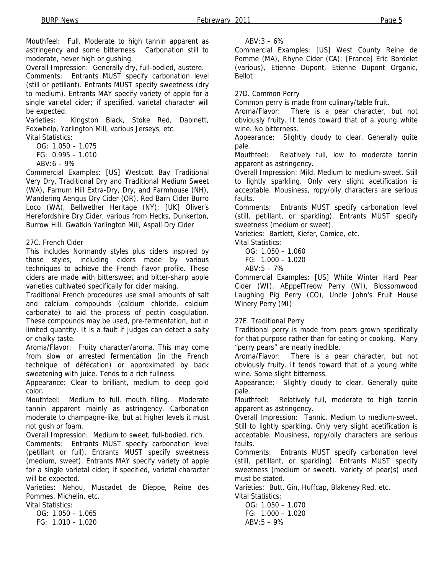Mouthfeel: Full. Moderate to high tannin apparent as astringency and some bitterness. Carbonation still to moderate, never high or gushing.

Overall Impression: Generally dry, full-bodied, austere.

Comments: Entrants MUST specify carbonation level (still or petillant). Entrants MUST specify sweetness (dry to medium). Entrants MAY specify variety of apple for a single varietal cider; if specified, varietal character will be expected.

Varieties: Kingston Black, Stoke Red, Dabinett, Foxwhelp, Yarlington Mill, various Jerseys, etc.

Vital Statistics:

OG: 1.050 – 1.075

FG: 0.995 – 1.010

 $ABV: 6 - 9%$ 

Commercial Examples: [US] Westcott Bay Traditional Very Dry, Traditional Dry and Traditional Medium Sweet (WA), Farnum Hill Extra-Dry, Dry, and Farmhouse (NH), Wandering Aengus Dry Cider (OR), Red Barn Cider Burro Loco (WA), Bellwether Heritage (NY); [UK] Oliver's Herefordshire Dry Cider, various from Hecks, Dunkerton, Burrow Hill, Gwatkin Yarlington Mill, Aspall Dry Cider

### 27C. French Cider

This includes Normandy styles plus ciders inspired by those styles, including ciders made by various techniques to achieve the French flavor profile. These ciders are made with bittersweet and bitter-sharp apple varieties cultivated specifically for cider making.

Traditional French procedures use small amounts of salt and calcium compounds (calcium chloride, calcium carbonate) to aid the process of pectin coagulation. These compounds may be used, pre-fermentation, but in limited quantity. It is a fault if judges can detect a salty or chalky taste.

Aroma/Flavor: Fruity character/aroma. This may come from slow or arrested fermentation (in the French technique of défécation) or approximated by back sweetening with juice. Tends to a rich fullness.

Appearance: Clear to brilliant, medium to deep gold color.

Mouthfeel: Medium to full, mouth filling. Moderate tannin apparent mainly as astringency. Carbonation moderate to champagne-like, but at higher levels it must not gush or foam.

Overall Impression: Medium to sweet, full-bodied, rich.

Comments: Entrants MUST specify carbonation level (petillant or full). Entrants MUST specify sweetness (medium, sweet). Entrants MAY specify variety of apple for a single varietal cider; if specified, varietal character will be expected.

Varieties: Nehou, Muscadet de Dieppe, Reine des Pommes, Michelin, etc.

Vital Statistics:

 OG: 1.050 – 1.065 FG: 1.010 – 1.020  $ABV:3 - 6%$ 

Commercial Examples: [US] West County Reine de Pomme (MA), Rhyne Cider (CA); [France] Eric Bordelet (various), Etienne Dupont, Etienne Dupont Organic, Bellot

27D. Common Perry

Common perry is made from culinary/table fruit.

Aroma/Flavor: There is a pear character, but not obviously fruity. It tends toward that of a young white wine. No bitterness.

Appearance: Slightly cloudy to clear. Generally quite pale.

Mouthfeel: Relatively full, low to moderate tannin apparent as astringency.

Overall Impression: Mild. Medium to medium-sweet. Still to lightly sparkling. Only very slight acetification is acceptable. Mousiness, ropy/oily characters are serious faults.

Comments: Entrants MUST specify carbonation level (still, petillant, or sparkling). Entrants MUST specify sweetness (medium or sweet).

Varieties: Bartlett, Kiefer, Comice, etc.

Vital Statistics:

 OG: 1.050 – 1.060 FG: 1.000 – 1.020

 $ABV:5 - 7%$ 

Commercial Examples: [US] White Winter Hard Pear Cider (WI), AEppelTreow Perry (WI), Blossomwood Laughing Pig Perry (CO), Uncle John's Fruit House Winery Perry (MI)

### 27E. Traditional Perry

Traditional perry is made from pears grown specifically for that purpose rather than for eating or cooking. Many "perry pears" are nearly inedible.

Aroma/Flavor: There is a pear character, but not obviously fruity. It tends toward that of a young white wine. Some slight bitterness.

Appearance: Slightly cloudy to clear. Generally quite pale.

Mouthfeel: Relatively full, moderate to high tannin apparent as astringency.

Overall Impression: Tannic. Medium to medium-sweet. Still to lightly sparkling. Only very slight acetification is acceptable. Mousiness, ropy/oily characters are serious faults.

Comments: Entrants MUST specify carbonation level (still, petillant, or sparkling). Entrants MUST specify sweetness (medium or sweet). Variety of pear(s) used must be stated.

Varieties: Butt, Gin, Huffcap, Blakeney Red, etc. Vital Statistics:

 OG: 1.050 – 1.070 FG: 1.000 – 1.020  $ABV:5 - 9%$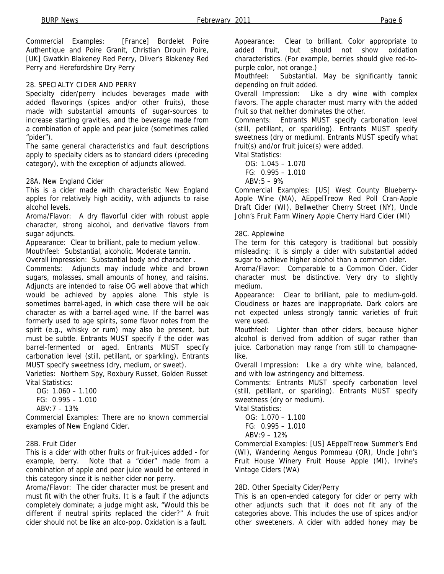Commercial Examples: [France] Bordelet Poire Authentique and Poire Granit, Christian Drouin Poire, [UK] Gwatkin Blakeney Red Perry, Oliver's Blakeney Red Perry and Herefordshire Dry Perry

### 28. SPECIALTY CIDER AND PERRY

Specialty cider/perry includes beverages made with added flavorings (spices and/or other fruits), those made with substantial amounts of sugar-sources to increase starting gravities, and the beverage made from a combination of apple and pear juice (sometimes called "pider").

The same general characteristics and fault descriptions apply to specialty ciders as to standard ciders (preceding category), with the exception of adjuncts allowed.

28A. New England Cider

This is a cider made with characteristic New England apples for relatively high acidity, with adjuncts to raise alcohol levels.

Aroma/Flavor: A dry flavorful cider with robust apple character, strong alcohol, and derivative flavors from sugar adjuncts.

Appearance: Clear to brilliant, pale to medium yellow. Mouthfeel: Substantial, alcoholic. Moderate tannin.

Overall impression: Substantial body and character .

Comments: Adjuncts may include white and brown sugars, molasses, small amounts of honey, and raisins. Adjuncts are intended to raise OG well above that which would be achieved by apples alone. This style is sometimes barrel-aged, in which case there will be oak character as with a barrel-aged wine. If the barrel was formerly used to age spirits, some flavor notes from the spirit (e.g., whisky or rum) may also be present, but must be subtle. Entrants MUST specify if the cider was barrel-fermented or aged. Entrants MUST specify carbonation level (still, petillant, or sparkling). Entrants MUST specify sweetness (dry, medium, or sweet).

Varieties: Northern Spy, Roxbury Russet, Golden Russet Vital Statistics:

OG:  $1.060 - 1.100$  FG: 0.995 – 1.010  $ABV·7 - 13%$ 

Commercial Examples: There are no known commercial examples of New England Cider.

### 28B. Fruit Cider

This is a cider with other fruits or fruit-juices added - for example, berry. Note that a "cider" made from a combination of apple and pear juice would be entered in this category since it is neither cider nor perry.

Aroma/Flavor: The cider character must be present and must fit with the other fruits. It is a fault if the adjuncts completely dominate; a judge might ask, "Would this be different if neutral spirits replaced the cider?" A fruit cider should not be like an alco-pop. Oxidation is a fault.

Appearance: Clear to brilliant. Color appropriate to added fruit, but should not show oxidation characteristics. (For example, berries should give red-topurple color, not orange.)

Mouthfeel: Substantial. May be significantly tannic depending on fruit added.

Overall Impression: Like a dry wine with complex flavors. The apple character must marry with the added fruit so that neither dominates the other.

Comments: Entrants MUST specify carbonation level (still, petillant, or sparkling). Entrants MUST specify sweetness (dry or medium). Entrants MUST specify what fruit(s) and/or fruit juice(s) were added.

Vital Statistics:

OG: 1.045 – 1.070

FG: 0.995 – 1.010

 $ABV:5 - 9%$ 

Commercial Examples: [US] West County Blueberry-Apple Wine (MA), AEppelTreow Red Poll Cran-Apple Draft Cider (WI), Bellwether Cherry Street (NY), Uncle John's Fruit Farm Winery Apple Cherry Hard Cider (MI)

#### 28C. Applewine

The term for this category is traditional but possibly misleading: it is simply a cider with substantial added sugar to achieve higher alcohol than a common cider.

Aroma/Flavor: Comparable to a Common Cider. Cider character must be distinctive. Very dry to slightly medium.

Appearance: Clear to brilliant, pale to medium-gold. Cloudiness or hazes are inappropriate. Dark colors are not expected unless strongly tannic varieties of fruit were used.

Mouthfeel: Lighter than other ciders, because higher alcohol is derived from addition of sugar rather than juice. Carbonation may range from still to champagnelike.

Overall Impression: Like a dry white wine, balanced, and with low astringency and bitterness.

Comments: Entrants MUST specify carbonation level (still, petillant, or sparkling). Entrants MUST specify sweetness (dry or medium).

Vital Statistics:

 OG: 1.070 – 1.100 FG: 0.995 – 1.010

 $ABV:9 - 12%$ 

Commercial Examples: [US] AEppelTreow Summer's End (WI), Wandering Aengus Pommeau (OR), Uncle John's Fruit House Winery Fruit House Apple (MI), Irvine's Vintage Ciders (WA)

### 28D. Other Specialty Cider/Perry

This is an open-ended category for cider or perry with other adjuncts such that it does not fit any of the categories above. This includes the use of spices and/or other sweeteners. A cider with added honey may be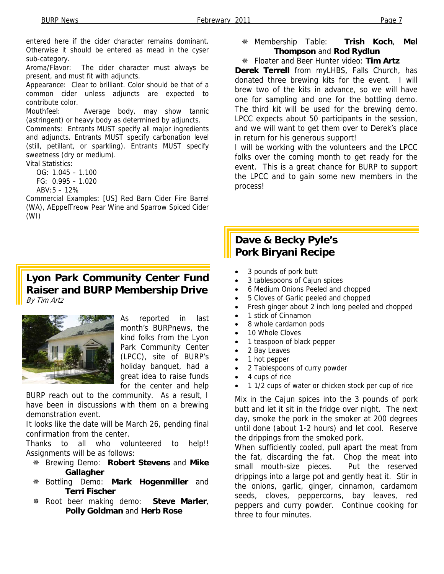entered here if the cider character remains dominant. Otherwise it should be entered as mead in the cyser sub-category.

Aroma/Flavor: The cider character must always be present, and must fit with adjuncts.

Appearance: Clear to brilliant. Color should be that of a common cider unless adjuncts are expected to contribute color.

Mouthfeel: Average body, may show tannic (astringent) or heavy body as determined by adjuncts.

Comments: Entrants MUST specify all major ingredients and adjuncts. Entrants MUST specify carbonation level (still, petillant, or sparkling). Entrants MUST specify sweetness (dry or medium).

Vital Statistics:

OG: 1.045 – 1.100

FG: 0.995 – 1.020

 $ABV:5 - 12%$ 

Commercial Examples: [US] Red Barn Cider Fire Barrel (WA), AEppelTreow Pear Wine and Sparrow Spiced Cider (WI)

# **Lyon Park Community Center Fund Raiser and BURP Membership Drive**  By Tim Artz



As reported in last month's BURPnews, the kind folks from the Lyon Park Community Center (LPCC), site of BURP's holiday banquet, had a great idea to raise funds for the center and help

BURP reach out to the community. As a result, I have been in discussions with them on a brewing demonstration event.

It looks like the date will be March 26, pending final confirmation from the center.

Thanks to all who volunteered to help!! Assignments will be as follows:

- Brewing Demo: **Robert Stevens** and **Mike Gallagher**
- Bottling Demo: **Mark Hogenmiller** and **Terri Fischer**
- Root beer making demo: **Steve Marler**, **Polly Goldman** and **Herb Rose**

 Membership Table: **Trish Koch**, **Mel Thompson** and **Rod Rydlun**

## Floater and Beer Hunter video: **Tim Artz**

**Derek Terrell** from myLHBS, Falls Church, has donated three brewing kits for the event. I will brew two of the kits in advance, so we will have one for sampling and one for the bottling demo. The third kit will be used for the brewing demo. LPCC expects about 50 participants in the session, and we will want to get them over to Derek's place in return for his generous support!

I will be working with the volunteers and the LPCC folks over the coming month to get ready for the event. This is a great chance for BURP to support the LPCC and to gain some new members in the process!

# **Dave & Becky Pyle's Pork Biryani Recipe**

- 3 pounds of pork butt
- 3 tablespoons of Cajun spices
- 6 Medium Onions Peeled and chopped
- 5 Cloves of Garlic peeled and chopped
- Fresh ginger about 2 inch long peeled and chopped
- 1 stick of Cinnamon
- 8 whole cardamon pods
- 10 Whole Cloves
- 1 teaspoon of black pepper
- 2 Bay Leaves
- 1 hot pepper
- 2 Tablespoons of curry powder
- 4 cups of rice
- 1 1/2 cups of water or chicken stock per cup of rice

Mix in the Cajun spices into the 3 pounds of pork butt and let it sit in the fridge over night. The next day, smoke the pork in the smoker at 200 degrees until done (about 1-2 hours) and let cool. Reserve the drippings from the smoked pork.

When sufficiently cooled, pull apart the meat from the fat, discarding the fat. Chop the meat into small mouth-size pieces. Put the reserved drippings into a large pot and gently heat it. Stir in the onions, garlic, ginger, cinnamon, cardamom seeds, cloves, peppercorns, bay leaves, red peppers and curry powder. Continue cooking for three to four minutes.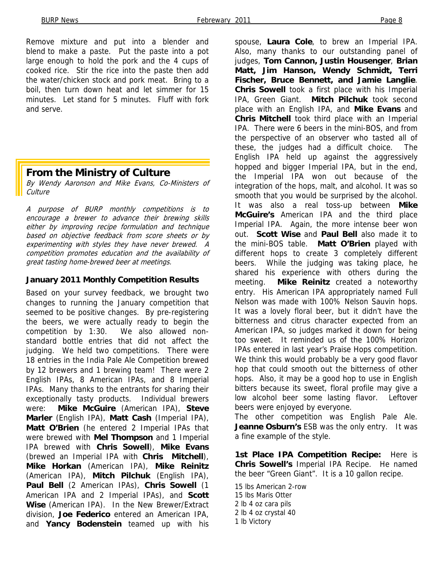Remove mixture and put into a blender and blend to make a paste. Put the paste into a pot large enough to hold the pork and the 4 cups of cooked rice. Stir the rice into the paste then add the water/chicken stock and pork meat. Bring to a boil, then turn down heat and let simmer for 15 minutes. Let stand for 5 minutes. Fluff with fork and serve.

## **From the Ministry of Culture**

By Wendy Aaronson and Mike Evans, Co-Ministers of **Culture** 

A purpose of BURP monthly competitions is to encourage a brewer to advance their brewing skills either by improving recipe formulation and technique based on objective feedback from score sheets or by experimenting with styles they have never brewed. A competition promotes education and the availability of great tasting home-brewed beer at meetings.

### **January 2011 Monthly Competition Results**

Based on your survey feedback, we brought two changes to running the January competition that seemed to be positive changes. By pre-registering the beers, we were actually ready to begin the competition by 1:30. We also allowed nonstandard bottle entries that did not affect the judging. We held two competitions. There were 18 entries in the India Pale Ale Competition brewed by 12 brewers and 1 brewing team! There were 2 English IPAs, 8 American IPAs, and 8 Imperial IPAs. Many thanks to the entrants for sharing their exceptionally tasty products. Individual brewers were: **Mike McGuire** (American IPA), **Steve Marler** (English IPA), **Matt Cash** (Imperial IPA), **Matt O'Brien** (he entered 2 Imperial IPAs that were brewed with **Mel Thompson** and 1 Imperial IPA brewed with **Chris Sowell**), **Mike Evans** (brewed an Imperial IPA with **Chris Mitchell**), **Mike Horkan** (American IPA), **Mike Reinitz** (American IPA), **Mitch Pilchuk** (English IPA), **Paul Bell** (2 American IPAs), **Chris Sowell** (1 American IPA and 2 Imperial IPAs), and **Scott Wise** (American IPA). In the New Brewer/Extract division, **Joe Federico** entered an American IPA, and **Yancy Bodenstein** teamed up with his

spouse, **Laura Cole**, to brew an Imperial IPA. Also, many thanks to our outstanding panel of judges, **Tom Cannon, Justin Housenger**, **Brian Matt, Jim Hanson, Wendy Schmidt, Terri Fischer, Bruce Bennett, and Jamie Langlie**. **Chris Sowell** took a first place with his Imperial IPA, Green Giant. **Mitch Pilchuk** took second place with an English IPA, and **Mike Evans** and **Chris Mitchell** took third place with an Imperial IPA. There were 6 beers in the mini-BOS, and from the perspective of an observer who tasted all of these, the judges had a difficult choice. The English IPA held up against the aggressively hopped and bigger Imperial IPA, but in the end, the Imperial IPA won out because of the integration of the hops, malt, and alcohol. It was so smooth that you would be surprised by the alcohol. It was also a real toss-up between **Mike McGuire's** American IPA and the third place Imperial IPA. Again, the more intense beer won out. **Scott Wise** and **Paul Bell** also made it to the mini-BOS table. **Matt O'Brien** played with different hops to create 3 completely different beers. While the judging was taking place, he shared his experience with others during the meeting. **Mike Reinitz** created a noteworthy entry. His American IPA appropriately named Full Nelson was made with 100% Nelson Sauvin hops. It was a lovely floral beer, but it didn't have the bitterness and citrus character expected from an American IPA, so judges marked it down for being too sweet. It reminded us of the 100% Horizon IPAs entered in last year's Praise Hops competition. We think this would probably be a very good flavor hop that could smooth out the bitterness of other hops. Also, it may be a good hop to use in English bitters because its sweet, floral profile may give a low alcohol beer some lasting flavor. Leftover beers were enjoyed by everyone.

The other competition was English Pale Ale. **Jeanne Osburn's** ESB was the only entry. It was a fine example of the style.

**1st Place IPA Competition Recipe:** Here is **Chris Sowell's** Imperial IPA Recipe. He named the beer "Green Giant". It is a 10 gallon recipe.

15 lbs American 2-row 15 lbs Maris Otter 2 lb 4 oz cara pils 2 lb 4 oz crystal 40 1 lb Victory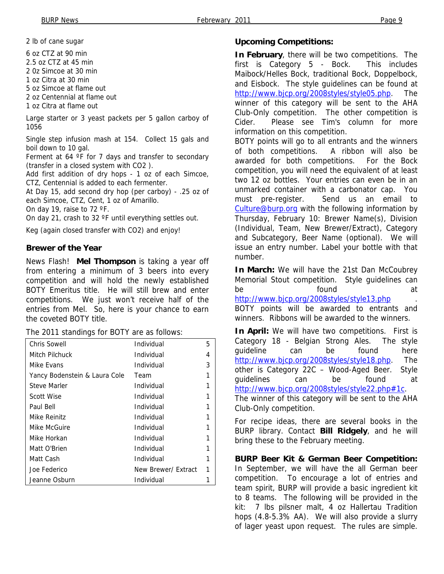2 lb of cane sugar

6 oz CTZ at 90 min

2.5 oz CTZ at 45 min

2 0z Simcoe at 30 min

1 oz Citra at 30 min

5 oz Simcoe at flame out

2 oz Centennial at flame out

1 oz Citra at flame out

Large starter or 3 yeast packets per 5 gallon carboy of 1056

Single step infusion mash at 154. Collect 15 gals and boil down to 10 gal.

Ferment at 64  $\degree$ F for 7 days and transfer to secondary (transfer in a closed system with CO2 ).

Add first addition of dry hops - 1 oz of each Simcoe, CTZ, Centennial is added to each fermenter.

At Day 15, add second dry hop (per carboy) - .25 oz of each Simcoe, CTZ, Cent, 1 oz of Amarillo.

On day 19, raise to 72 ºF.

On day 21, crash to 32 ºF until everything settles out.

Keg (again closed transfer with CO2) and enjoy!

### **Brewer of the Year**

News Flash! **Mel Thompson** is taking a year off from entering a minimum of 3 beers into every competition and will hold the newly established BOTY Emeritus title. He will still brew and enter competitions. We just won't receive half of the entries from Mel. So, here is your chance to earn the coveted BOTY title.

The 2011 standings for BOTY are as follows:

| <b>Chris Sowell</b>           | Individual          | 5 |
|-------------------------------|---------------------|---|
| Mitch Pilchuck                | Individual          | 4 |
| Mike Evans                    | Individual          | 3 |
| Yancy Bodenstein & Laura Cole | Team                |   |
| <b>Steve Marler</b>           | Individual          |   |
| <b>Scott Wise</b>             | Individual          |   |
| Paul Bell                     | Individual          |   |
| Mike Reinitz                  | Individual          |   |
| Mike McGuire                  | Individual          |   |
| Mike Horkan                   | Individual          |   |
| Matt O'Brien                  | Individual          |   |
| Matt Cash                     | Individual          |   |
| Joe Federico                  | New Brewer/ Extract |   |
| Jeanne Osburn                 | Individual          |   |

### **Upcoming Competitions:**

**In February**, there will be two competitions. The first is Category 5 - Bock. This includes Maibock/Helles Bock, traditional Bock, Doppelbock, and Eisbock. The style guidelines can be found at http://www.bjcp.org/2008styles/style05.php. The winner of this category will be sent to the AHA Club-Only competition. The other competition is Cider. Please see Tim's column for more information on this competition.

BOTY points will go to all entrants and the winners of both competitions. A ribbon will also be awarded for both competitions. For the Bock competition, you will need the equivalent of at least two 12 oz bottles. Your entries can even be in an unmarked container with a carbonator cap. You must pre-register. Send us an email to Culture@burp.org with the following information by Thursday, February 10: Brewer Name(s), Division (Individual, Team, New Brewer/Extract), Category and Subcategory, Beer Name (optional). We will issue an entry number. Label your bottle with that number.

**In March:** We will have the 21st Dan McCoubrey Memorial Stout competition. Style guidelines can be **found** at http://www.bjcp.org/2008styles/style13.php

BOTY points will be awarded to entrants and winners. Ribbons will be awarded to the winners.

**In April:** We will have two competitions. First is Category 18 - Belgian Strong Ales. The style guideline can be found here http://www.bjcp.org/2008styles/style18.php. The other is Category 22C – Wood-Aged Beer. Style guidelines can be found at http://www.bjcp.org/2008styles/style22.php#1c.

The winner of this category will be sent to the AHA Club-Only competition.

For recipe ideas, there are several books in the BURP library. Contact **Bill Ridgely**, and he will bring these to the February meeting.

**BURP Beer Kit & German Beer Competition:**  In September, we will have the all German beer competition. To encourage a lot of entries and team spirit, BURP will provide a basic ingredient kit to 8 teams. The following will be provided in the kit: 7 lbs pilsner malt, 4 oz Hallertau Tradition hops (4.8-5.3% AA). We will also provide a slurry of lager yeast upon request. The rules are simple.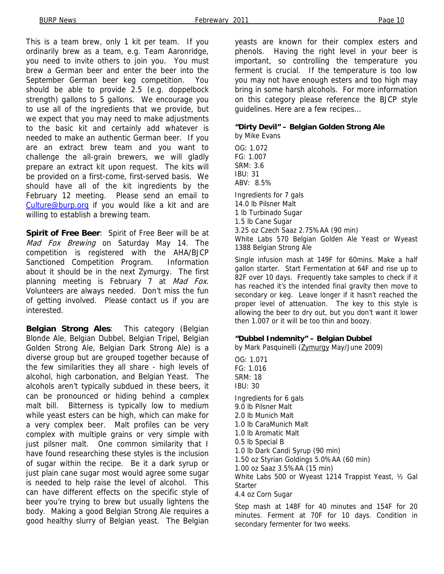This is a team brew, only 1 kit per team. If you ordinarily brew as a team, e.g. Team Aaronridge, you need to invite others to join you. You must brew a German beer and enter the beer into the September German beer keg competition. You should be able to provide 2.5 (e.g. doppelbock strength) gallons to 5 gallons. We encourage you to use all of the ingredients that we provide, but we expect that you may need to make adjustments to the basic kit and certainly add whatever is needed to make an authentic German beer. If you are an extract brew team and you want to challenge the all-grain brewers, we will gladly prepare an extract kit upon request. The kits will be provided on a first-come, first-served basis. We should have all of the kit ingredients by the February 12 meeting. Please send an email to Culture@burp.org if you would like a kit and are willing to establish a brewing team.

**Spirit of Free Beer**: Spirit of Free Beer will be at Mad Fox Brewing on Saturday May 14. The competition is registered with the AHA/BJCP Sanctioned Competition Program. Information about it should be in the next Zymurgy. The first planning meeting is February 7 at Mad Fox. Volunteers are always needed. Don't miss the fun of getting involved. Please contact us if you are interested.

**Belgian Strong Ales**: This category (Belgian Blonde Ale, Belgian Dubbel, Belgian Tripel, Belgian Golden Strong Ale, Belgian Dark Strong Ale) is a diverse group but are grouped together because of the few similarities they all share - high levels of alcohol, high carbonation, and Belgian Yeast. The alcohols aren't typically subdued in these beers, it can be pronounced or hiding behind a complex malt bill. Bitterness is typically low to medium while yeast esters can be high, which can make for a very complex beer. Malt profiles can be very complex with multiple grains or very simple with just pilsner malt. One common similarity that I have found researching these styles is the inclusion of sugar within the recipe. Be it a dark syrup or just plain cane sugar most would agree some sugar is needed to help raise the level of alcohol. This can have different effects on the specific style of beer you're trying to brew but usually lightens the body. Making a good Belgian Strong Ale requires a good healthy slurry of Belgian yeast. The Belgian

yeasts are known for their complex esters and phenols. Having the right level in your beer is important, so controlling the temperature you ferment is crucial. If the temperature is too low you may not have enough esters and too high may bring in some harsh alcohols. For more information on this category please reference the BJCP style guidelines. Here are a few recipes…

### **"Dirty Devil" – Belgian Golden Strong Ale**

by Mike Evans OG: 1.072 FG: 1.007 SRM: 3.6 IBU: 31 ABV: 8.5% Ingredients for 7 gals 14.0 lb Pilsner Malt 1 lb Turbinado Sugar 1.5 lb Cane Sugar 3.25 oz Czech Saaz 2.75%AA (90 min) White Labs 570 Belgian Golden Ale Yeast or Wyeast 1388 Belgian Strong Ale

Single infusion mash at 149F for 60mins. Make a half gallon starter. Start Fermentation at 64F and rise up to 82F over 10 days. Frequently take samples to check if it has reached it's the intended final gravity then move to secondary or keg. Leave longer if it hasn't reached the proper level of attenuation. The key to this style is allowing the beer to dry out, but you don't want it lower then 1.007 or it will be too thin and boozy.

### **"Dubbel Indemnity" – Belgian Dubbel**

by Mark Pasquinelli (Zymurgy May/June 2009)

OG: 1.071 FG: 1.016 SRM: 18 IBU: 30 Ingredients for 6 gals 9.0 lb Pilsner Malt 2.0 lb Munich Malt 1.0 lb CaraMunich Malt 1.0 lb Aromatic Malt 0.5 lb Special B 1.0 lb Dark Candi Syrup (90 min) 1.50 oz Styrian Goldings 5.0%AA (60 min) 1.00 oz Saaz 3.5%AA (15 min) White Labs 500 or Wyeast 1214 Trappist Yeast, ½ Gal **Starter** 4.4 oz Corn Sugar

Step mash at 148F for 40 minutes and 154F for 20 minutes. Ferment at 70F for 10 days. Condition in secondary fermenter for two weeks.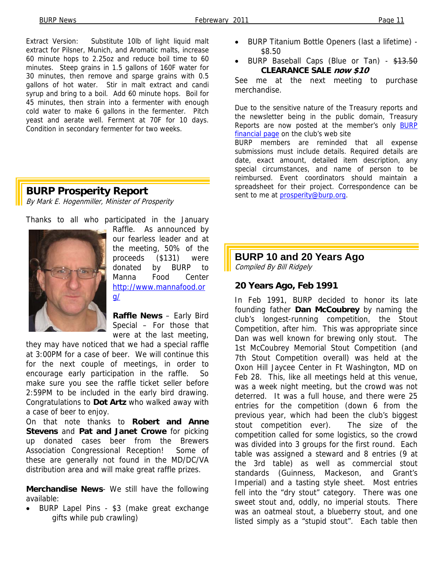Extract Version: Substitute 10lb of light liquid malt extract for Pilsner, Munich, and Aromatic malts, increase 60 minute hops to 2.25oz and reduce boil time to 60 minutes. Steep grains in 1.5 gallons of 160F water for 30 minutes, then remove and sparge grains with 0.5 gallons of hot water. Stir in malt extract and candi syrup and bring to a boil. Add 60 minute hops. Boil for 45 minutes, then strain into a fermenter with enough cold water to make 6 gallons in the fermenter. Pitch yeast and aerate well. Ferment at 70F for 10 days. Condition in secondary fermenter for two weeks.

# **BURP Prosperity Report**

By Mark E. Hogenmiller, Minister of Prosperity

Thanks to all who participated in the January



Raffle. As announced by our fearless leader and at the meeting, 50% of the proceeds (\$131) were donated by BURP to Manna Food Center http://www.mannafood.or g/

**Raffle News** – Early Bird Special – For those that were at the last meeting,

they may have noticed that we had a special raffle at 3:00PM for a case of beer. We will continue this for the next couple of meetings, in order to encourage early participation in the raffle. So make sure you see the raffle ticket seller before 2:59PM to be included in the early bird drawing. Congratulations to **Dot Artz** who walked away with a case of beer to enjoy.

On that note thanks to **Robert and Anne Stevens** and **Pat and Janet Crowe** for picking up donated cases beer from the Brewers Association Congressional Reception! Some of these are generally not found in the MD/DC/VA distribution area and will make great raffle prizes.

**Merchandise News**- We still have the following available:

• BURP Lapel Pins - \$3 (make great exchange gifts while pub crawling)

- BURP Titanium Bottle Openers (last a lifetime) \$8.50
- BURP Baseball Caps (Blue or Tan) \$13.50 **CLEARANCE SALE now \$10**

See me at the next meeting to purchase merchandise.

Due to the sensitive nature of the Treasury reports and the newsletter being in the public domain, Treasury Reports are now posted at the member's only BURP financial page on the club's web site

**BURP** members are reminded that all expense submissions must include details. Required details are date, exact amount, detailed item description, any special circumstances, and name of person to be reimbursed. Event coordinators should maintain a spreadsheet for their project. Correspondence can be sent to me at prosperity@burp.org.

# **BURP 10 and 20 Years Ago**

Compiled By Bill Ridgely

### **20 Years Ago, Feb 1991**

In Feb 1991, BURP decided to honor its late founding father **Dan McCoubrey** by naming the club's longest-running competition, the Stout Competition, after him. This was appropriate since Dan was well known for brewing only stout. The 1st McCoubrey Memorial Stout Competition (and 7th Stout Competition overall) was held at the Oxon Hill Jaycee Center in Ft Washington, MD on Feb 28. This, like all meetings held at this venue, was a week night meeting, but the crowd was not deterred. It was a full house, and there were 25 entries for the competition (down 6 from the previous year, which had been the club's biggest stout competition ever). The size of the competition called for some logistics, so the crowd was divided into 3 groups for the first round. Each table was assigned a steward and 8 entries (9 at the 3rd table) as well as commercial stout standards (Guinness, Mackeson, and Grant's Imperial) and a tasting style sheet. Most entries fell into the "dry stout" category. There was one sweet stout and, oddly, no imperial stouts. There was an oatmeal stout, a blueberry stout, and one listed simply as a "stupid stout". Each table then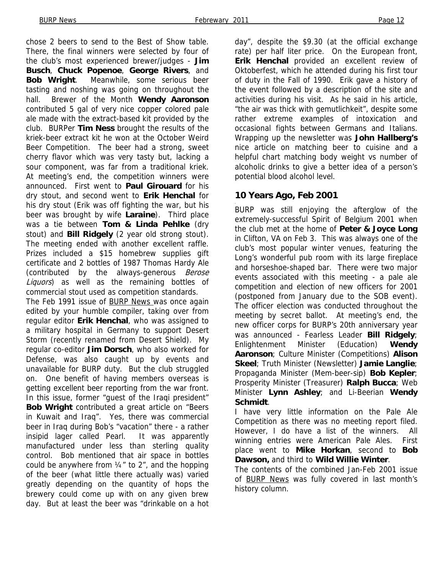chose 2 beers to send to the Best of Show table. There, the final winners were selected by four of the club's most experienced brewer/judges - **Jim Busch**, **Chuck Popenoe**, **George Rivers**, and **Bob Wright**. Meanwhile, some serious beer tasting and noshing was going on throughout the hall. Brewer of the Month **Wendy Aaronson**  contributed 5 gal of very nice copper colored pale ale made with the extract-based kit provided by the club. BURPer **Tim Ness** brought the results of the kriek-beer extract kit he won at the October Weird Beer Competition. The beer had a strong, sweet cherry flavor which was very tasty but, lacking a sour component, was far from a traditional kriek. At meeting's end, the competition winners were announced. First went to **Paul Girouard** for his dry stout, and second went to **Erik Henchal** for his dry stout (Erik was off fighting the war, but his beer was brought by wife **Laraine**). Third place was a tie between **Tom & Linda Pehlke** (dry stout) and **Bill Ridgely** (2 year old strong stout). The meeting ended with another excellent raffle. Prizes included a \$15 homebrew supplies gift certificate and 2 bottles of 1987 Thomas Hardy Ale (contributed by the always-generous Berose Liquors) as well as the remaining bottles of commercial stout used as competition standards.

The Feb 1991 issue of BURP News was once again edited by your humble compiler, taking over from regular editor **Erik Henchal**, who was assigned to a military hospital in Germany to support Desert Storm (recently renamed from Desert Shield). My regular co-editor **Jim Dorsch**, who also worked for Defense, was also caught up by events and unavailable for BURP duty. But the club struggled on. One benefit of having members overseas is getting excellent beer reporting from the war front. In this issue, former "guest of the Iraqi president" **Bob Wright** contributed a great article on "Beers in Kuwait and Iraq". Yes, there was commercial beer in Iraq during Bob's "vacation" there - a rather insipid lager called Pearl. It was apparently manufactured under less than sterling quality control. Bob mentioned that air space in bottles could be anywhere from  $\frac{1}{4}$ " to 2", and the hopping of the beer (what little there actually was) varied greatly depending on the quantity of hops the brewery could come up with on any given brew day. But at least the beer was "drinkable on a hot

day", despite the \$9.30 (at the official exchange rate) per half liter price. On the European front, **Erik Henchal** provided an excellent review of Oktoberfest, which he attended during his first tour of duty in the Fall of 1990. Erik gave a history of the event followed by a description of the site and activities during his visit. As he said in his article, "the air was thick with gemutlichkeit", despite some rather extreme examples of intoxication and occasional fights between Germans and Italians. Wrapping up the newsletter was **John Hallberg's**  nice article on matching beer to cuisine and a helpful chart matching body weight vs number of alcoholic drinks to give a better idea of a person's potential blood alcohol level.

## **10 Years Ago, Feb 2001**

. BURP was still enjoying the afterglow of the extremely-successful Spirit of Belgium 2001 when the club met at the home of **Peter & Joyce Long** in Clifton, VA on Feb 3. This was always one of the club's most popular winter venues, featuring the Long's wonderful pub room with its large fireplace and horseshoe-shaped bar. There were two major events associated with this meeting - a pale ale competition and election of new officers for 2001 (postponed from January due to the SOB event). The officer election was conducted throughout the meeting by secret ballot. At meeting's end, the new officer corps for BURP's 20th anniversary year was announced - Fearless Leader **Bill Ridgely**; Enlightenment Minister (Education) **Wendy Aaronson**; Culture Minister (Competitions) **Alison Skeel**; Truth Minister (Newsletter) **Jamie Langlie**; Propaganda Minister (Mem-beer-sip) **Bob Kepler**; Prosperity Minister (Treasurer) **Ralph Bucca**; Web Minister **Lynn Ashley**; and Li-Beerian **Wendy Schmidt**.

I have very little information on the Pale Ale Competition as there was no meeting report filed. However, I do have a list of the winners. All winning entries were American Pale Ales. First place went to **Mike Horkan**, second to **Bob Dawson,** and third to **Wild Willie Winter**.

The contents of the combined Jan-Feb 2001 issue of BURP News was fully covered in last month's history column.